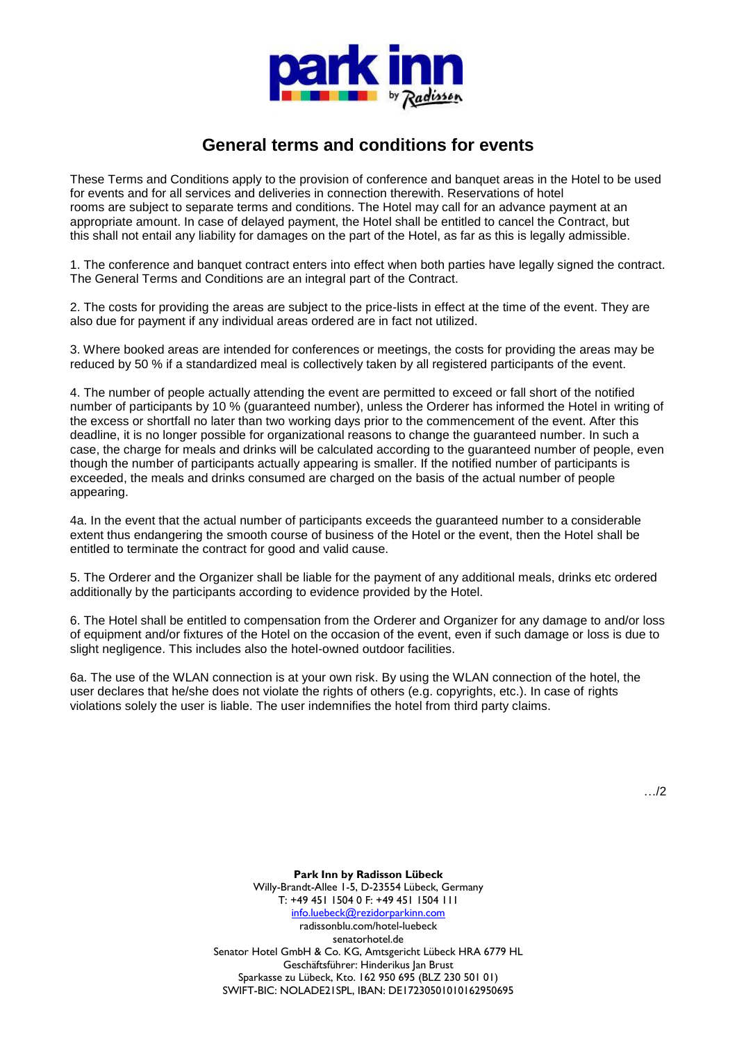

## **General terms and conditions for events**

These Terms and Conditions apply to the provision of conference and banquet areas in the Hotel to be used for events and for all services and deliveries in connection therewith. Reservations of hotel rooms are subject to separate terms and conditions. The Hotel may call for an advance payment at an appropriate amount. In case of delayed payment, the Hotel shall be entitled to cancel the Contract, but this shall not entail any liability for damages on the part of the Hotel, as far as this is legally admissible.

1. The conference and banquet contract enters into effect when both parties have legally signed the contract. The General Terms and Conditions are an integral part of the Contract.

2. The costs for providing the areas are subject to the price-lists in effect at the time of the event. They are also due for payment if any individual areas ordered are in fact not utilized.

3. Where booked areas are intended for conferences or meetings, the costs for providing the areas may be reduced by 50 % if a standardized meal is collectively taken by all registered participants of the event.

4. The number of people actually attending the event are permitted to exceed or fall short of the notified number of participants by 10 % (guaranteed number), unless the Orderer has informed the Hotel in writing of the excess or shortfall no later than two working days prior to the commencement of the event. After this deadline, it is no longer possible for organizational reasons to change the guaranteed number. In such a case, the charge for meals and drinks will be calculated according to the guaranteed number of people, even though the number of participants actually appearing is smaller. If the notified number of participants is exceeded, the meals and drinks consumed are charged on the basis of the actual number of people appearing.

4a. In the event that the actual number of participants exceeds the guaranteed number to a considerable extent thus endangering the smooth course of business of the Hotel or the event, then the Hotel shall be entitled to terminate the contract for good and valid cause.

5. The Orderer and the Organizer shall be liable for the payment of any additional meals, drinks etc ordered additionally by the participants according to evidence provided by the Hotel.

6. The Hotel shall be entitled to compensation from the Orderer and Organizer for any damage to and/or loss of equipment and/or fixtures of the Hotel on the occasion of the event, even if such damage or loss is due to slight negligence. This includes also the hotel-owned outdoor facilities.

6a. The use of the WLAN connection is at your own risk. By using the WLAN connection of the hotel, the user declares that he/she does not violate the rights of others (e.g. copyrights, etc.). In case of rights violations solely the user is liable. The user indemnifies the hotel from third party claims.

…/2

**Park Inn by Radisson Lübeck** Willy-Brandt-Allee 1-5, D-23554 Lübeck, Germany T: +49 451 1504 0 F: +49 451 1504 111 [info.luebeck@rezidorparkinn.com](mailto:info.luebeck@rezidorparkinn.com) radissonblu.com/hotel-luebeck senatorhotel.de Senator Hotel GmbH & Co. KG, Amtsgericht Lübeck HRA 6779 HL Geschäftsführer: Hinderikus Jan Brust Sparkasse zu Lübeck, Kto. 162 950 695 (BLZ 230 501 01) SWIFT-BIC: NOLADE21SPL, IBAN: DE17230501010162950695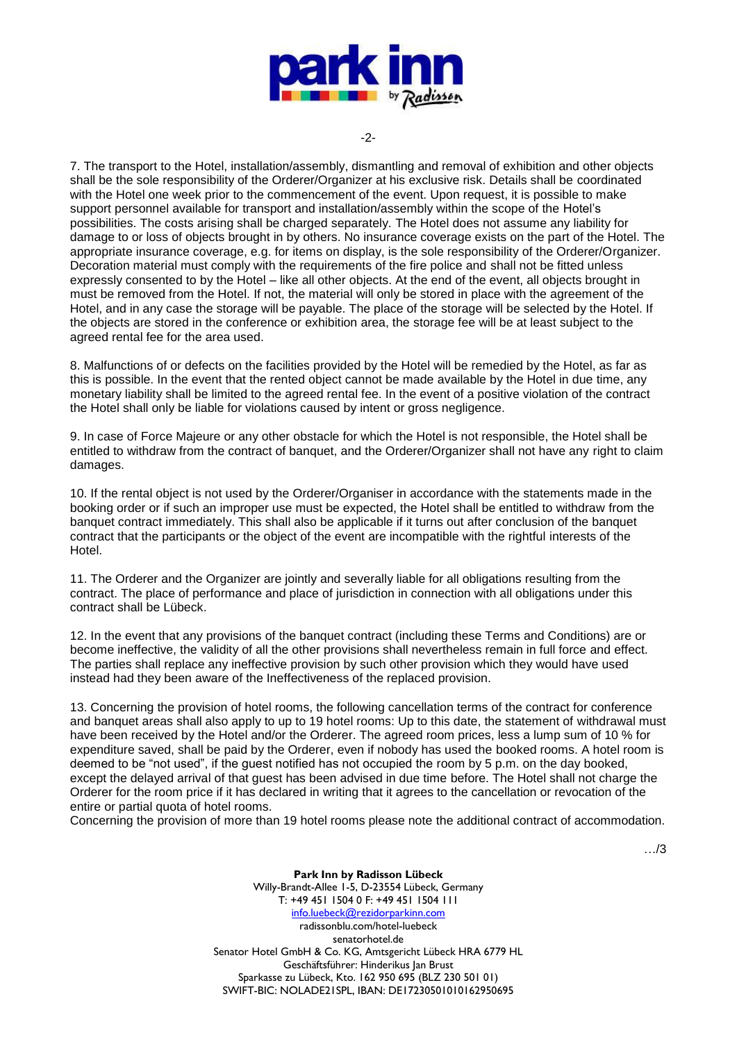

-2-

7. The transport to the Hotel, installation/assembly, dismantling and removal of exhibition and other objects shall be the sole responsibility of the Orderer/Organizer at his exclusive risk. Details shall be coordinated with the Hotel one week prior to the commencement of the event. Upon request, it is possible to make support personnel available for transport and installation/assembly within the scope of the Hotel's possibilities. The costs arising shall be charged separately. The Hotel does not assume any liability for damage to or loss of objects brought in by others. No insurance coverage exists on the part of the Hotel. The appropriate insurance coverage, e.g. for items on display, is the sole responsibility of the Orderer/Organizer. Decoration material must comply with the requirements of the fire police and shall not be fitted unless expressly consented to by the Hotel – like all other objects. At the end of the event, all objects brought in must be removed from the Hotel. If not, the material will only be stored in place with the agreement of the Hotel, and in any case the storage will be payable. The place of the storage will be selected by the Hotel. If the objects are stored in the conference or exhibition area, the storage fee will be at least subject to the agreed rental fee for the area used.

8. Malfunctions of or defects on the facilities provided by the Hotel will be remedied by the Hotel, as far as this is possible. In the event that the rented object cannot be made available by the Hotel in due time, any monetary liability shall be limited to the agreed rental fee. In the event of a positive violation of the contract the Hotel shall only be liable for violations caused by intent or gross negligence.

9. In case of Force Majeure or any other obstacle for which the Hotel is not responsible, the Hotel shall be entitled to withdraw from the contract of banquet, and the Orderer/Organizer shall not have any right to claim damages.

10. If the rental object is not used by the Orderer/Organiser in accordance with the statements made in the booking order or if such an improper use must be expected, the Hotel shall be entitled to withdraw from the banquet contract immediately. This shall also be applicable if it turns out after conclusion of the banquet contract that the participants or the object of the event are incompatible with the rightful interests of the Hotel.

11. The Orderer and the Organizer are jointly and severally liable for all obligations resulting from the contract. The place of performance and place of jurisdiction in connection with all obligations under this contract shall be Lübeck.

12. In the event that any provisions of the banquet contract (including these Terms and Conditions) are or become ineffective, the validity of all the other provisions shall nevertheless remain in full force and effect. The parties shall replace any ineffective provision by such other provision which they would have used instead had they been aware of the Ineffectiveness of the replaced provision.

13. Concerning the provision of hotel rooms, the following cancellation terms of the contract for conference and banquet areas shall also apply to up to 19 hotel rooms: Up to this date, the statement of withdrawal must have been received by the Hotel and/or the Orderer. The agreed room prices, less a lump sum of 10 % for expenditure saved, shall be paid by the Orderer, even if nobody has used the booked rooms. A hotel room is deemed to be "not used", if the guest notified has not occupied the room by 5 p.m. on the day booked, except the delayed arrival of that guest has been advised in due time before. The Hotel shall not charge the Orderer for the room price if it has declared in writing that it agrees to the cancellation or revocation of the entire or partial quota of hotel rooms.

Concerning the provision of more than 19 hotel rooms please note the additional contract of accommodation.

…/3

**Park Inn by Radisson Lübeck** Willy-Brandt-Allee 1-5, D-23554 Lübeck, Germany T: +49 451 1504 0 F: +49 451 1504 111 [info.luebeck@rezidorparkinn.com](mailto:info.luebeck@rezidorparkinn.com) radissonblu.com/hotel-luebeck senatorhotel.de Senator Hotel GmbH & Co. KG, Amtsgericht Lübeck HRA 6779 HL Geschäftsführer: Hinderikus Jan Brust Sparkasse zu Lübeck, Kto. 162 950 695 (BLZ 230 501 01) SWIFT-BIC: NOLADE21SPL, IBAN: DE17230501010162950695